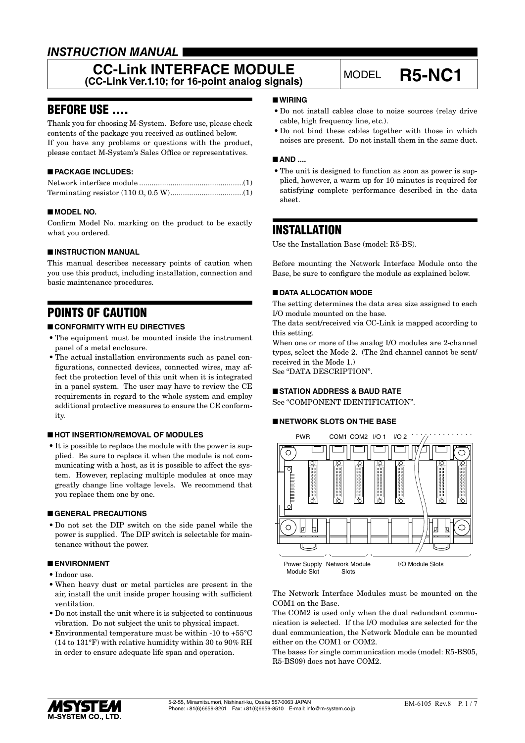# *INSTRUCTION MANUAL*

## **CC-Link INTERFACE MODULE CC-LINK IN I ERFACE MODULE**<br>(CC-Link Ver.1.10; for 16-point analog signals) MODEL **R5-NC1**

## BEFORE USE ....

Thank you for choosing M-System. Before use, please check contents of the package you received as outlined below. If you have any problems or questions with the product, please contact M-System's Sales Office or representatives.

## ■ **PACKAGE INCLUDES:**

### ■ **MODEL NO.**

Confirm Model No. marking on the product to be exactly what you ordered.

### ■ **INSTRUCTION MANUAL**

This manual describes necessary points of caution when you use this product, including installation, connection and basic maintenance procedures.

# POINTS OF CAUTION

### ■ **CONFORMITY WITH EU DIRECTIVES**

- The equipment must be mounted inside the instrument panel of a metal enclosure.
- The actual installation environments such as panel configurations, connected devices, connected wires, may affect the protection level of this unit when it is integrated in a panel system. The user may have to review the CE requirements in regard to the whole system and employ additional protective measures to ensure the CE conformity.

#### ■ **HOT INSERTION/REMOVAL OF MODULES**

• It is possible to replace the module with the power is supplied. Be sure to replace it when the module is not communicating with a host, as it is possible to affect the system. However, replacing multiple modules at once may greatly change line voltage levels. We recommend that you replace them one by one.

#### ■ **GENERAL PRECAUTIONS**

• Do not set the DIP switch on the side panel while the power is supplied. The DIP switch is selectable for maintenance without the power.

#### ■ **ENVIRONMENT**

- Indoor use.
- When heavy dust or metal particles are present in the air, install the unit inside proper housing with sufficient ventilation.
- Do not install the unit where it is subjected to continuous vibration. Do not subject the unit to physical impact.
- Environmental temperature must be within -10 to +55°C (14 to 131°F) with relative humidity within 30 to 90% RH in order to ensure adequate life span and operation.

#### ■ **WIRING**

- Do not install cables close to noise sources (relay drive cable, high frequency line, etc.).
- Do not bind these cables together with those in which noises are present. Do not install them in the same duct.

#### ■ AND ....

• The unit is designed to function as soon as power is supplied, however, a warm up for 10 minutes is required for satisfying complete performance described in the data sheet.

## INSTALLATION

Use the Installation Base (model: R5-BS).

Before mounting the Network Interface Module onto the Base, be sure to configure the module as explained below.

#### ■ **DATA ALLOCATION MODE**

The setting determines the data area size assigned to each I/O module mounted on the base.

The data sent/received via CC-Link is mapped according to this setting.

When one or more of the analog I/O modules are 2-channel types, select the Mode 2. (The 2nd channel cannot be sent/ received in the Mode 1.) See "DATA DESCRIPTION".

## ■ **STATION ADDRESS & BAUD RATE**

See "COMPONENT IDENTIFICATION".

#### ■ **NETWORK SLOTS ON THE BASE**



The Network Interface Modules must be mounted on the COM1 on the Base.

The COM2 is used only when the dual redundant communication is selected. If the I/O modules are selected for the dual communication, the Network Module can be mounted either on the COM1 or COM2.

The bases for single communication mode (model: R5-BS05, R5-BS09) does not have COM2.

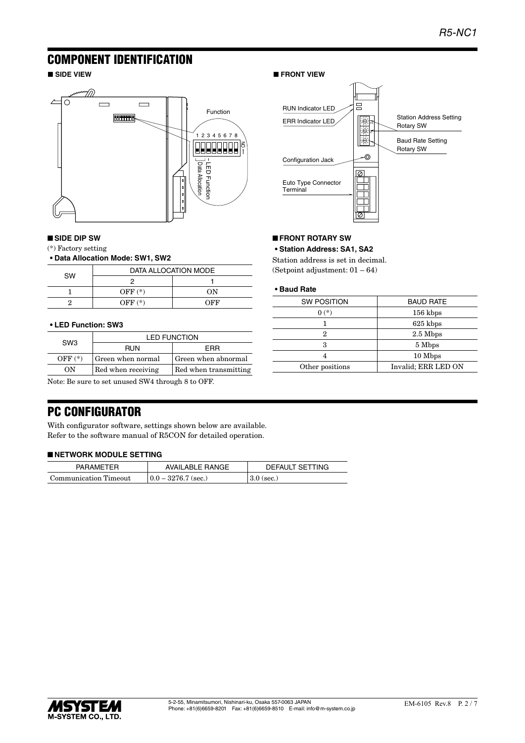## COMPONENT IDENTIFICATION



#### ■ **SIDE DIP SW**

(\*) Factory setting

#### **• Data Allocation Mode: SW1, SW2**

|           |           | DATA ALLOCATION MODE |
|-----------|-----------|----------------------|
| <b>SW</b> |           |                      |
|           | OFF $(*)$ | ON                   |
|           | $OFF(*)$  | OFF                  |

#### **• LED Function: SW3**

| SW <sub>3</sub> | <b>LED FUNCTION</b> |                       |
|-----------------|---------------------|-----------------------|
|                 | <b>RUN</b>          | FRR                   |
| $OFF(*)$        | Green when normal   | Green when abnormal   |
| ON              | Red when receiving  | Red when transmitting |

Note: Be sure to set unused SW4 through 8 to OFF.

## PC CONFIGURATOR

With configurator software, settings shown below are available. Refer to the software manual of R5CON for detailed operation.

#### ■ **NETWORK MODULE SETTING**

| <b>PARAMETER</b>      | <b>AVAILABLE RANGE</b> | DEFAULT SETTING |
|-----------------------|------------------------|-----------------|
| Communication Timeout | $0.0 - 3276.7$ (sec.)  | $3.0$ (sec.)    |

#### ■ **SIDE VIEW** ■ **FRONT VIEW**



#### ■ **FRONT ROTARY SW**

**• Station Address: SA1, SA2**

Station address is set in decimal. (Setpoint adjustment: 01 – 64)

#### **• Baud Rate**

| <b>SW POSITION</b> | <b>BAUD RATE</b>    |  |
|--------------------|---------------------|--|
| $0(*)$             | $156$ kbps          |  |
|                    | 625 kbps            |  |
| 2                  | $2.5$ Mbps          |  |
| 3                  | 5 Mbps              |  |
|                    | 10 Mbps             |  |
| Other positions    | Invalid; ERR LED ON |  |

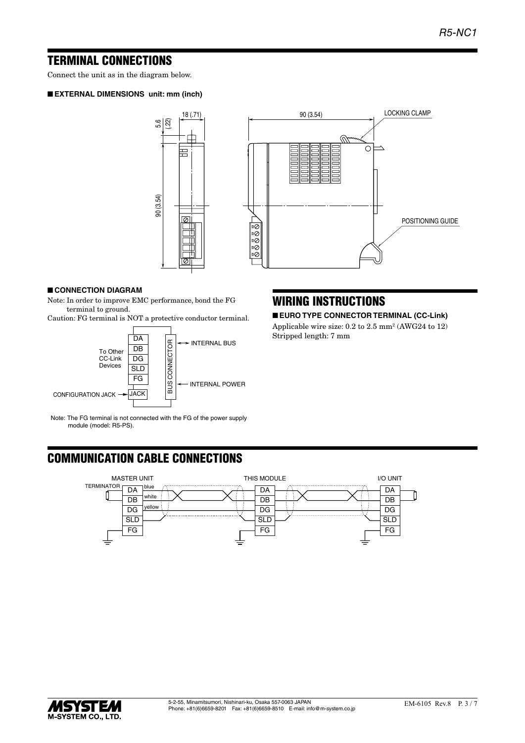## TERMINAL CONNECTIONS

Connect the unit as in the diagram below.

#### ■ **EXTERNAL DIMENSIONS unit: mm (inch)**





#### ■ **CONNECTION DIAGRAM**

Note: In order to improve EMC performance, bond the FG terminal to ground.

Caution: FG terminal is NOT a protective conductor terminal.



Note: The FG terminal is not connected with the FG of the power supply module (model: R5-PS).

# WIRING INSTRUCTIONS

■ **EURO TYPE CONNECTOR TERMINAL (CC-Link)**

Applicable wire size: 0.2 to 2.5 mm<sup>2</sup> (AWG24 to 12) Stripped length: 7 mm

# COMMUNICATION CABLE CONNECTIONS



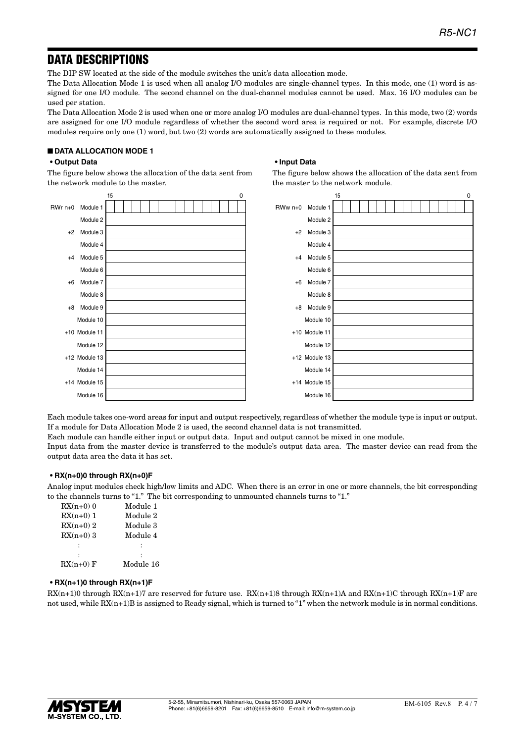## DATA DESCRIPTIONS

The DIP SW located at the side of the module switches the unit's data allocation mode.

The Data Allocation Mode 1 is used when all analog I/O modules are single-channel types. In this mode, one (1) word is assigned for one I/O module. The second channel on the dual-channel modules cannot be used. Max. 16 I/O modules can be used per station.

The Data Allocation Mode 2 is used when one or more analog I/O modules are dual-channel types. In this mode, two (2) words are assigned for one I/O module regardless of whether the second word area is required or not. For example, discrete I/O modules require only one (1) word, but two (2) words are automatically assigned to these modules.

**• Input Data**

the master to the network module.

The figure below shows the allocation of the data sent from

### ■ **DATA ALLOCATION MODE 1**

#### **• Output Data**

The figure below shows the allocation of the data sent from the network module to the master.



Each module takes one-word areas for input and output respectively, regardless of whether the module type is input or output. If a module for Data Allocation Mode 2 is used, the second channel data is not transmitted.

Each module can handle either input or output data. Input and output cannot be mixed in one module.

Input data from the master device is transferred to the module's output data area. The master device can read from the output data area the data it has set.

#### **• RX(n+0)0 through RX(n+0)F**

Analog input modules check high/low limits and ADC. When there is an error in one or more channels, the bit corresponding to the channels turns to "1." The bit corresponding to unmounted channels turns to "1."

| $RX(n+0)$ 0 | Module 1  |
|-------------|-----------|
| $RX(n+0)$ 1 | Module 2  |
| $RX(n+0)$ 2 | Module 3  |
| $RX(n+0)$ 3 | Module 4  |
|             |           |
|             |           |
| $RX(n+0)$ F | Module 16 |

#### **• RX(n+1)0 through RX(n+1)F**

 $RX(n+1)0$  through  $RX(n+1)7$  are reserved for future use.  $RX(n+1)8$  through  $RX(n+1)A$  and  $RX(n+1)C$  through  $RX(n+1)F$  are not used, while  $RX(n+1)B$  is assigned to Ready signal, which is turned to "1" when the network module is in normal conditions.

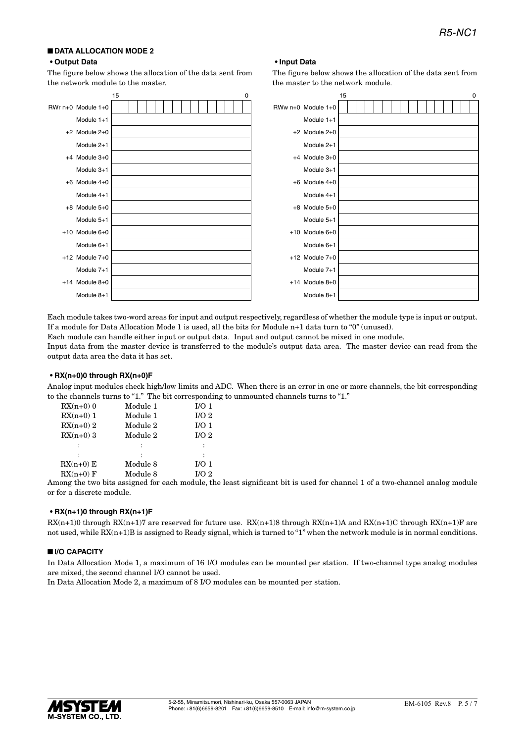## ■ **DATA ALLOCATION MODE 2**

#### **• Output Data**

The figure below shows the allocation of the data sent from the network module to the master.



**• Input Data**

the master to the network module.

The figure below shows the allocation of the data sent from

Each module takes two-word areas for input and output respectively, regardless of whether the module type is input or output. If a module for Data Allocation Mode 1 is used, all the bits for Module n+1 data turn to "0" (unused).

Each module can handle either input or output data. Input and output cannot be mixed in one module.

Input data from the master device is transferred to the module's output data area. The master device can read from the output data area the data it has set.

#### **• RX(n+0)0 through RX(n+0)F**

Analog input modules check high/low limits and ADC. When there is an error in one or more channels, the bit corresponding to the channels turns to "1." The bit corresponding to unmounted channels turns to "1."

| $RX(n+0)$ 0 | Module 1 | I/O <sub>1</sub> |
|-------------|----------|------------------|
| $RX(n+0)$ 1 | Module 1 | I/O <sub>2</sub> |
| $RX(n+0)$ 2 | Module 2 | I/O <sub>1</sub> |
| $RX(n+0)$ 3 | Module 2 | I/O <sub>2</sub> |
| :           |          |                  |
|             |          |                  |
| $RX(n+0) E$ | Module 8 | I/O <sub>1</sub> |
| $RX(n+0)$ F | Module 8 | I/O <sub>2</sub> |
|             |          |                  |

Among the two bits assigned for each module, the least significant bit is used for channel 1 of a two-channel analog module or for a discrete module.

#### **• RX(n+1)0 through RX(n+1)F**

 $RX(n+1)0$  through  $RX(n+1)7$  are reserved for future use.  $RX(n+1)8$  through  $RX(n+1)A$  and  $RX(n+1)C$  through  $RX(n+1)F$  are not used, while RX(n+1)B is assigned to Ready signal, which is turned to "1" when the network module is in normal conditions.

#### ■ **I/O CAPACITY**

In Data Allocation Mode 1, a maximum of 16 I/O modules can be mounted per station. If two-channel type analog modules are mixed, the second channel I/O cannot be used.

In Data Allocation Mode 2, a maximum of 8 I/O modules can be mounted per station.

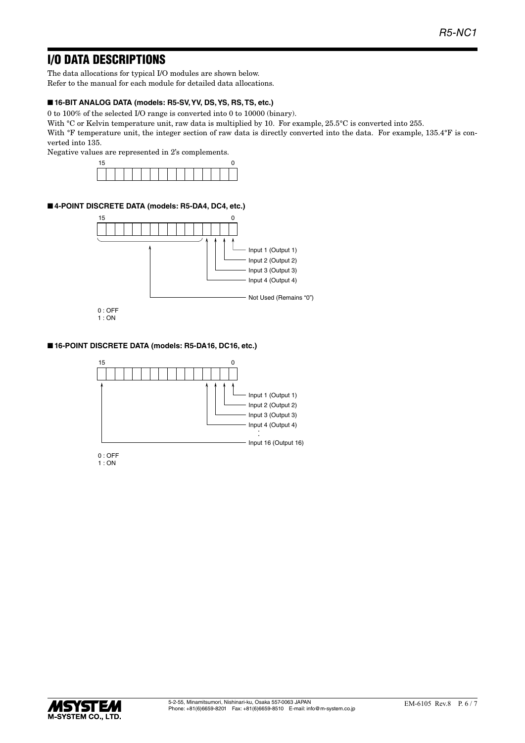# I/O DATA DESCRIPTIONS

The data allocations for typical I/O modules are shown below. Refer to the manual for each module for detailed data allocations.

### ■ **16-BIT ANALOG DATA (models: R5-SV, YV, DS, YS, RS, TS, etc.)**

0 to 100% of the selected I/O range is converted into 0 to 10000 (binary).

With °C or Kelvin temperature unit, raw data is multiplied by 10. For example, 25.5°C is converted into 255.

With <sup>o</sup>F temperature unit, the integer section of raw data is directly converted into the data. For example, 135.4°F is converted into 135.

Negative values are represented in 2's complements.



#### ■ 4-POINT DISCRETE DATA (models: R5-DA4, DC4, etc.)



#### ■ **16-POINT DISCRETE DATA (models: R5-DA16, DC16, etc.)**



1 : ON